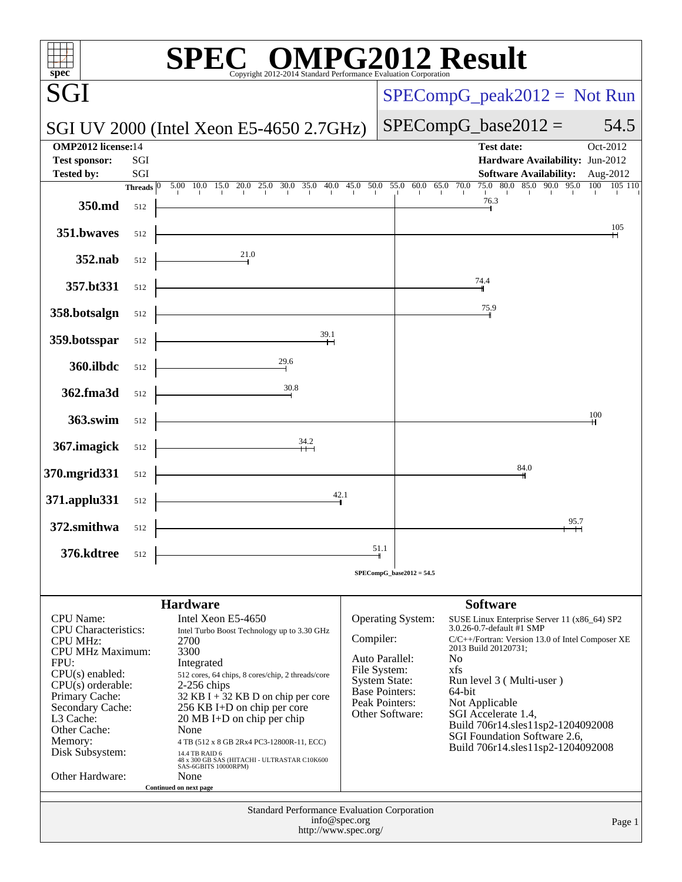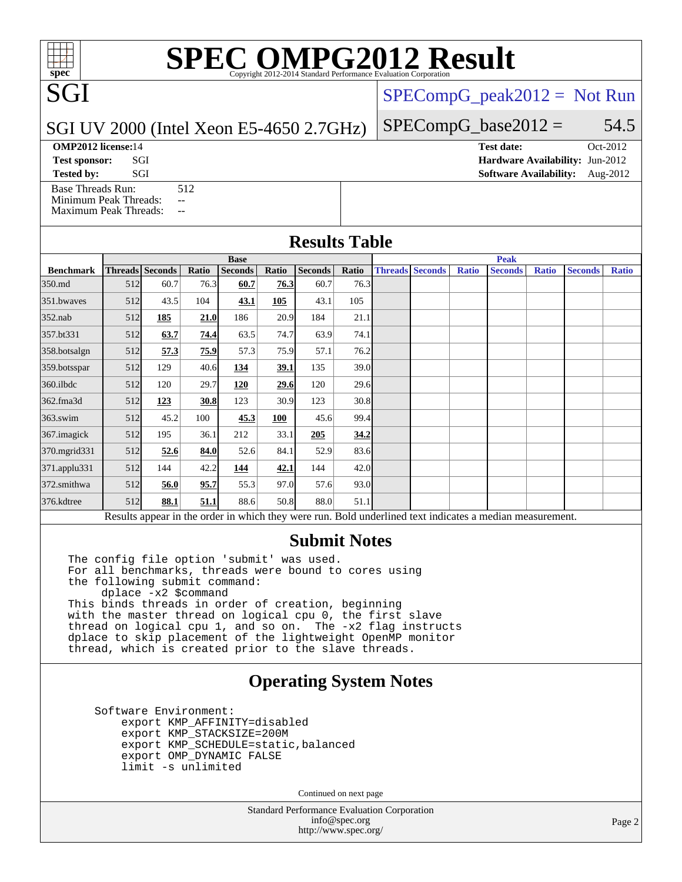# **[SPEC OMPG2012 Result](http://www.spec.org/auto/omp2012/Docs/result-fields.html#SPECOMPG2012Result)**

[SPECompG\\_peak2012 =](http://www.spec.org/auto/omp2012/Docs/result-fields.html#SPECompGpeak2012) Not Run

### SGI UV 2000 (Intel Xeon E5-4650 2.7GHz)

[Base Threads Run:](http://www.spec.org/auto/omp2012/Docs/result-fields.html#BaseThreadsRun) 512

[Minimum Peak Threads:](http://www.spec.org/auto/omp2012/Docs/result-fields.html#MinimumPeakThreads) --[Maximum Peak Threads:](http://www.spec.org/auto/omp2012/Docs/result-fields.html#MaximumPeakThreads) --

| $SPECompG_base2012 =$ | 54.5 |
|-----------------------|------|
|                       |      |

**[OMP2012 license:](http://www.spec.org/auto/omp2012/Docs/result-fields.html#OMP2012license)**14 **[Test date:](http://www.spec.org/auto/omp2012/Docs/result-fields.html#Testdate)** Oct-2012 **[Test sponsor:](http://www.spec.org/auto/omp2012/Docs/result-fields.html#Testsponsor)** SGI **[Hardware Availability:](http://www.spec.org/auto/omp2012/Docs/result-fields.html#HardwareAvailability)** Jun-2012 **[Tested by:](http://www.spec.org/auto/omp2012/Docs/result-fields.html#Testedby)** SGI SOFTWARE AVAILABILITY: Aug-2012

|                                                                                                          | <b>Base</b> |                 |       |                |             |                | <b>Peak</b> |  |                        |              |                |              |                |              |
|----------------------------------------------------------------------------------------------------------|-------------|-----------------|-------|----------------|-------------|----------------|-------------|--|------------------------|--------------|----------------|--------------|----------------|--------------|
| <b>Benchmark</b>                                                                                         |             | Threads Seconds | Ratio | <b>Seconds</b> | Ratio       | <b>Seconds</b> | Ratio       |  | <b>Threads Seconds</b> | <b>Ratio</b> | <b>Seconds</b> | <b>Ratio</b> | <b>Seconds</b> | <b>Ratio</b> |
| 350.md                                                                                                   | 512         | 60.7            | 76.3  | 60.7           | 76.3        | 60.7           | 76.3        |  |                        |              |                |              |                |              |
| 351.bwaves                                                                                               | 512         | 43.5            | 104   | 43.1           | 105         | 43.1           | 105         |  |                        |              |                |              |                |              |
| $352$ .nab                                                                                               | 512         | 185             | 21.0  | 186            | 20.9        | 184            | 21.1        |  |                        |              |                |              |                |              |
| 357.bt331                                                                                                | 512         | 63.7            | 74.4  | 63.5           | 74.7        | 63.9           | 74.1        |  |                        |              |                |              |                |              |
| 358.botsalgn                                                                                             | 512         | 57.3            | 75.9  | 57.3           | 75.9        | 57.1           | 76.2        |  |                        |              |                |              |                |              |
| 359.botsspar                                                                                             | 512         | 129             | 40.6  | 134            | <u>39.1</u> | 135            | 39.0        |  |                        |              |                |              |                |              |
| $360$ .ilbdc                                                                                             | 512         | 120             | 29.7  | 120            | 29.6        | 120            | 29.6        |  |                        |              |                |              |                |              |
| 362.fma3d                                                                                                | 512         | 123             | 30.8  | 123            | 30.9        | 123            | 30.8        |  |                        |              |                |              |                |              |
| $363$ .swim                                                                                              | 512         | 45.2            | 100   | 45.3           | 100         | 45.6           | 99.4        |  |                        |              |                |              |                |              |
| 367.imagick                                                                                              | 512         | 195             | 36.1  | 212            | 33.1        | 205            | 34.2        |  |                        |              |                |              |                |              |
| 370.mgrid331                                                                                             | 512         | 52.6            | 84.0  | 52.6           | 84.1        | 52.9           | 83.6        |  |                        |              |                |              |                |              |
| $371$ .applu $331$                                                                                       | 512         | 144             | 42.2  | 144            | 42.1        | 144            | 42.0        |  |                        |              |                |              |                |              |
| 372.smithwa                                                                                              | 512         | 56.0            | 95.7  | 55.3           | 97.0        | 57.6           | 93.0        |  |                        |              |                |              |                |              |
| 376.kdtree                                                                                               | 512         | 88.1            | 51.1  | 88.6           | 50.8        | 88.0           | 51.1        |  |                        |              |                |              |                |              |
| Results appear in the order in which they were run. Bold underlined text indicates a median measurement. |             |                 |       |                |             |                |             |  |                        |              |                |              |                |              |

### **[Submit Notes](http://www.spec.org/auto/omp2012/Docs/result-fields.html#SubmitNotes)**

The config file option 'submit' was used. For all benchmarks, threads were bound to cores using the following submit command: dplace -x2 \$command This binds threads in order of creation, beginning with the master thread on logical cpu 0, the first slave thread on logical cpu 1, and so on. The -x2 flag instructs dplace to skip placement of the lightweight OpenMP monitor thread, which is created prior to the slave threads.

### **[Operating System Notes](http://www.spec.org/auto/omp2012/Docs/result-fields.html#OperatingSystemNotes)**

 Software Environment: export KMP\_AFFINITY=disabled export KMP\_STACKSIZE=200M export KMP\_SCHEDULE=static,balanced export OMP\_DYNAMIC FALSE limit -s unlimited

Continued on next page

Standard Performance Evaluation Corporation [info@spec.org](mailto:info@spec.org) <http://www.spec.org/>

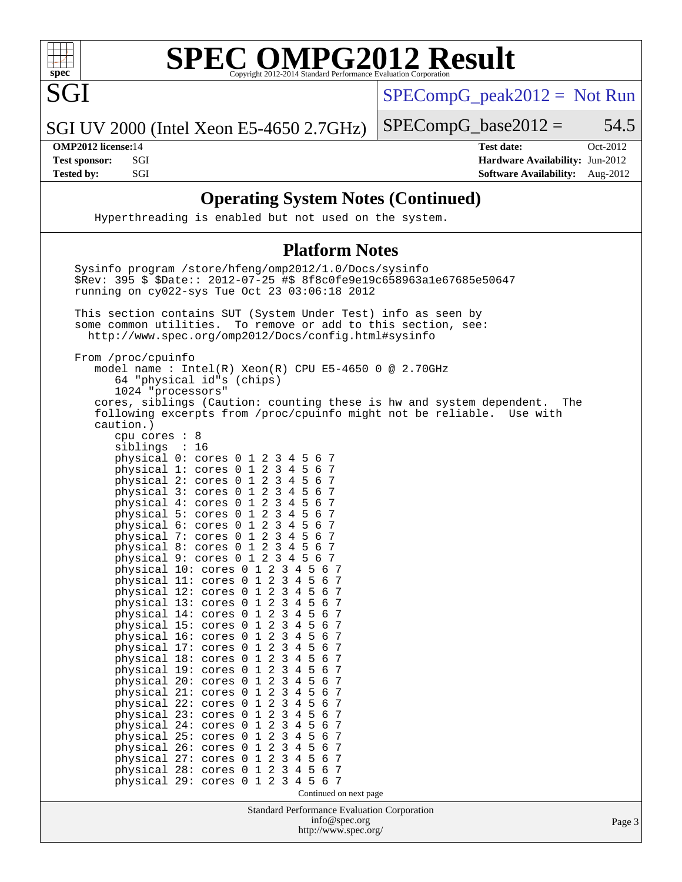

SGI

### **[SPEC OMPG2012 Result](http://www.spec.org/auto/omp2012/Docs/result-fields.html#SPECOMPG2012Result)**  $\overline{Cop}$ yright 2012-2014 Standard Performance Evaluation

[SPECompG\\_peak2012 =](http://www.spec.org/auto/omp2012/Docs/result-fields.html#SPECompGpeak2012) Not Run

SGI UV 2000 (Intel Xeon E5-4650 2.7GHz)

 $SPECompG_base2012 = 54.5$  $SPECompG_base2012 = 54.5$ 

**[OMP2012 license:](http://www.spec.org/auto/omp2012/Docs/result-fields.html#OMP2012license)**14 **[Test date:](http://www.spec.org/auto/omp2012/Docs/result-fields.html#Testdate)** Oct-2012 **[Test sponsor:](http://www.spec.org/auto/omp2012/Docs/result-fields.html#Testsponsor)** SGI **[Hardware Availability:](http://www.spec.org/auto/omp2012/Docs/result-fields.html#HardwareAvailability)** Jun-2012 **[Tested by:](http://www.spec.org/auto/omp2012/Docs/result-fields.html#Testedby)** SGI SOF SGI SOFTWARE AVAILABILITY: Aug-2012

### **[Operating System Notes \(Continued\)](http://www.spec.org/auto/omp2012/Docs/result-fields.html#OperatingSystemNotes)**

Hyperthreading is enabled but not used on the system.

### **[Platform Notes](http://www.spec.org/auto/omp2012/Docs/result-fields.html#PlatformNotes)**

Standard Performance Evaluation Corporation [info@spec.org](mailto:info@spec.org) <http://www.spec.org/> Page 3 Sysinfo program /store/hfeng/omp2012/1.0/Docs/sysinfo \$Rev: 395 \$ \$Date:: 2012-07-25 #\$ 8f8c0fe9e19c658963a1e67685e50647 running on cy022-sys Tue Oct 23 03:06:18 2012 This section contains SUT (System Under Test) info as seen by some common utilities. To remove or add to this section, see: <http://www.spec.org/omp2012/Docs/config.html#sysinfo> From /proc/cpuinfo model name : Intel(R) Xeon(R) CPU E5-4650 0 @ 2.70GHz 64 "physical id"s (chips) 1024 "processors" cores, siblings (Caution: counting these is hw and system dependent. The following excerpts from /proc/cpuinfo might not be reliable. Use with caution.) cpu cores : 8 siblings : 16 physical 0: cores 0 1 2 3 4 5 6 7<br>physical 1: cores 0 1 2 3 4 5 6 7 physical 1: cores 0 1 2 3 4 5 6 7 physical 2: cores 0 1 2 3 4 5 6 7 physical 3: cores 0 1 2 3 4 5 6 7 physical 4: cores 0 1 2 3 4 5 6 7 physical 5: cores 0 1 2 3 4 5 6 7 physical 6: cores 0 1 2 3 4 5 6 7 physical 7: cores 0 1 2 3 4 5 6 7 physical 8: cores 0 1 2 3 4 5 6 7 physical 9: cores 0 1 2 3 4 5 6 7 physical 10: cores 0 1 2 3 4 5 6 7 physical 11: cores 0 1 2 3 4 5 6 7 physical 12: cores 0 1 2 3 4 5 6 7 physical 13: cores 0 1 2 3 4 5 6 7 physical 14: cores 0 1 2 3 4 5 6 7 physical 15: cores 0 1 2 3 4 5 6 7 physical 16: cores 0 1 2 3 4 5 6 7 physical 17: cores 0 1 2 3 4 5 6 7 physical 18: cores 0 1 2 3 4 5 6 7 physical  $19:$  cores  $0 1 2 3 4 5$  physical 20: cores 0 1 2 3 4 5 6 7 physical 21: cores 0 1 2 3 4 5 6 7 physical 22: cores 0 1 2 3 4 5 6 7 physical 23: cores 0 1 2 3 4 5 6 7 physical 24: cores 0 1 2 3 4 5 6 7 physical 25: cores 0 1 2 3 4 5 6 7 physical 26: cores 0 1 2 3 4 5 6 7 physical 27: cores 0 1 2 3 4 5 6 7<br>physical 28: cores 0 1 2 3 4 5 6 7 physical 28: cores 0 1 2 3 4 5 6 7 physical 29: cores 0 1 2 3 4 5 6 7 Continued on next page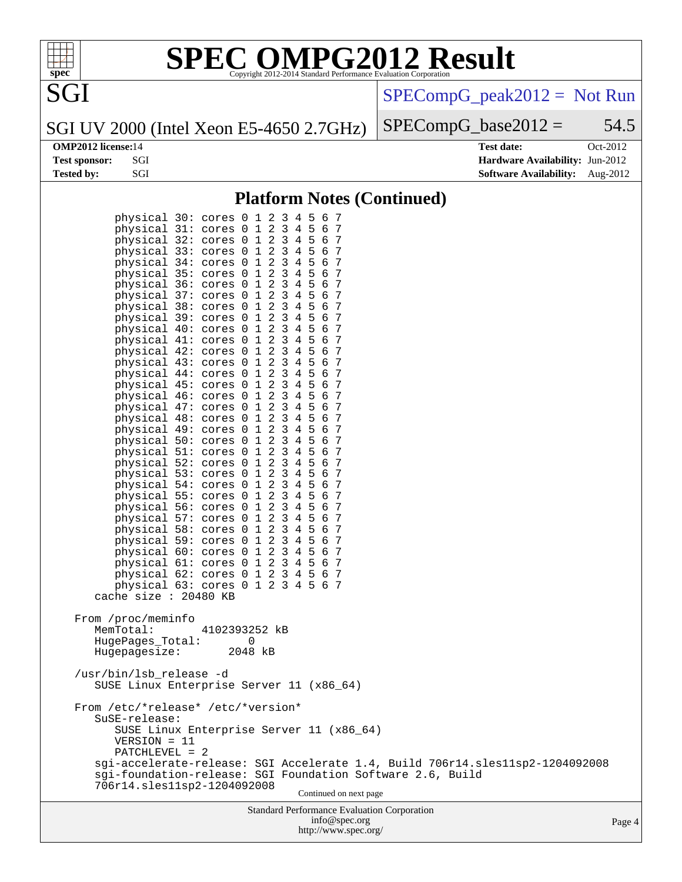

[SPECompG\\_peak2012 =](http://www.spec.org/auto/omp2012/Docs/result-fields.html#SPECompGpeak2012) Not Run

 $SPECompG_base2012 = 54.5$  $SPECompG_base2012 = 54.5$ 

### SGI UV 2000 (Intel Xeon E5-4650 2.7GHz)

SGI

**[OMP2012 license:](http://www.spec.org/auto/omp2012/Docs/result-fields.html#OMP2012license)**14 **[Test date:](http://www.spec.org/auto/omp2012/Docs/result-fields.html#Testdate)** Oct-2012 **[Test sponsor:](http://www.spec.org/auto/omp2012/Docs/result-fields.html#Testsponsor)** SGI **[Hardware Availability:](http://www.spec.org/auto/omp2012/Docs/result-fields.html#HardwareAvailability)** Jun-2012 **[Tested by:](http://www.spec.org/auto/omp2012/Docs/result-fields.html#Testedby)** SGI [Software Availability:](http://www.spec.org/auto/omp2012/Docs/result-fields.html#SoftwareAvailability) Aug-2012

### **[Platform Notes \(Continued\)](http://www.spec.org/auto/omp2012/Docs/result-fields.html#PlatformNotes)**

| Standard Performance Evaluation Corporation<br>info@spec.org                                                                                                  | Pag |
|---------------------------------------------------------------------------------------------------------------------------------------------------------------|-----|
| sgi-foundation-release: SGI Foundation Software 2.6, Build<br>706r14.sles11sp2-1204092008<br>Continued on next page                                           |     |
| SUSE Linux Enterprise Server 11 (x86_64)<br>$VERSION = 11$<br>PATCHLEVEL = 2<br>sgi-accelerate-release: SGI Accelerate 1.4, Build 706r14.sles11sp2-1204092008 |     |
| From /etc/*release* /etc/*version*<br>SuSE-release:                                                                                                           |     |
| /usr/bin/lsb_release -d<br>SUSE Linux Enterprise Server 11 (x86_64)                                                                                           |     |
| From /proc/meminfo<br>MemTotal:<br>4102393252 kB<br>HugePages_Total:<br>0<br>Hugepagesize:<br>2048 kB                                                         |     |
| cache size : 20480 KB                                                                                                                                         |     |
| physical 62: cores 0 1 2 3 4 5 6 7<br>physical 63: cores 0 1 2 3 4 5 6 7                                                                                      |     |
| physical 61: cores 0 1 2 3 4 5 6 7                                                                                                                            |     |
| physical 59: cores 0 1 2 3 4 5 6 7<br>physical 60: cores 0 1 2 3 4 5 6 7                                                                                      |     |
| physical 58: cores 0 1 2 3 4 5 6 7                                                                                                                            |     |
| physical 57: cores 0 1 2 3 4 5 6 7                                                                                                                            |     |
| physical 56: cores 0 1 2 3 4 5 6 7                                                                                                                            |     |
| physical 54: cores 0 1 2 3 4 5 6 7<br>physical 55: cores 0 1 2 3 4 5 6 7                                                                                      |     |
| physical 53: cores 0 1 2 3 4 5 6 7                                                                                                                            |     |
| physical 52: cores 0 1 2 3 4 5 6 7                                                                                                                            |     |
| physical 50: cores 0 1 2 3 4 5 6 7<br>physical 51: cores 0 1 2 3 4 5 6 7                                                                                      |     |
| physical 49: cores 0 1 2 3 4 5 6 7                                                                                                                            |     |
| physical 48: cores 0 1 2 3 4 5 6 7                                                                                                                            |     |
| physical 46: cores 0 1 2 3 4 5 6 7<br>physical 47: cores 0 1 2 3 4 5 6 7                                                                                      |     |
| physical 45: cores 0 1 2 3 4 5 6 7                                                                                                                            |     |
| physical 44: cores 0 1 2 3 4 5 6 7                                                                                                                            |     |
| physical 43: cores 0 1 2 3 4 5 6 7                                                                                                                            |     |
| physical 41: cores 0 1 2 3 4 5 6 7<br>physical 42: cores 0 1 2 3 4 5 6 7                                                                                      |     |
| physical 40: cores 0 1 2 3 4 5 6 7                                                                                                                            |     |
| physical 39: cores 0 1 2 3 4 5 6 7                                                                                                                            |     |
| physical 38: cores 0 1 2 3 4 5 6 7                                                                                                                            |     |
| physical 36: cores 0 1 2 3 4 5 6 7<br>physical 37: cores 0 1 2 3 4 5 6 7                                                                                      |     |
| physical 35: cores 0 1 2 3 4 5 6 7                                                                                                                            |     |
| physical 34: cores 0 1 2 3 4 5 6 7                                                                                                                            |     |
| physical 33: cores 0 1 2 3 4 5 6 7                                                                                                                            |     |
| physical 31: cores 0 1 2 3 4 5 6 7<br>physical 32: cores 0 1 2 3 4 5 6 7                                                                                      |     |
| physical 30: cores 0 1 2 3 4 5 6 7                                                                                                                            |     |
|                                                                                                                                                               |     |

<http://www.spec.org/>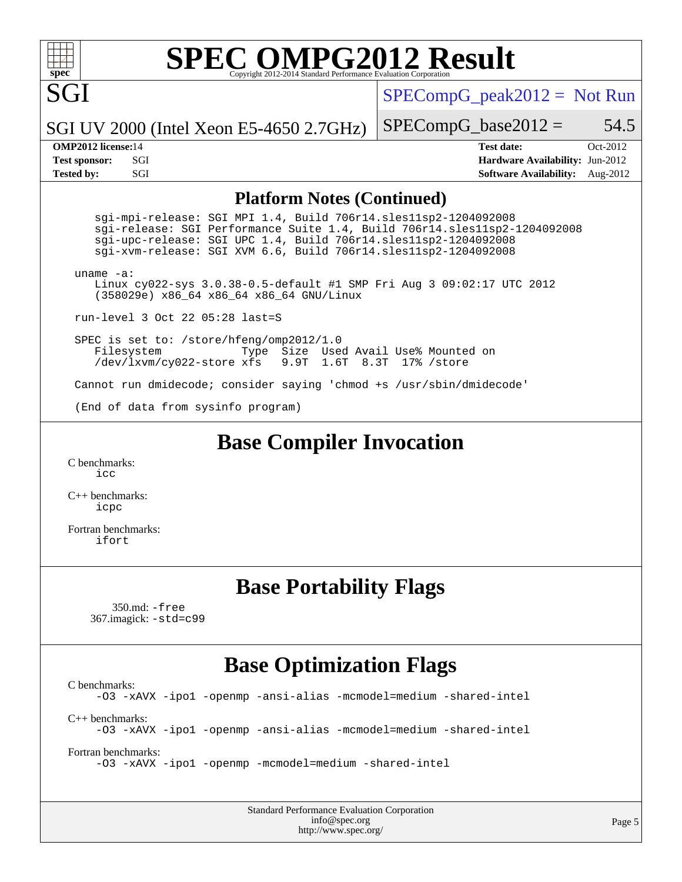# **[SPEC OMPG2012 Result](http://www.spec.org/auto/omp2012/Docs/result-fields.html#SPECOMPG2012Result)**

SGI UV 2000 (Intel Xeon E5-4650 2.7GHz)

SGI

 $SPECompG_peak2012 = Not Run$  $SPECompG_peak2012 = Not Run$ 

 $SPECompG_base2012 = 54.5$  $SPECompG_base2012 = 54.5$ 

**[OMP2012 license:](http://www.spec.org/auto/omp2012/Docs/result-fields.html#OMP2012license)**14 **[Test date:](http://www.spec.org/auto/omp2012/Docs/result-fields.html#Testdate)** Oct-2012 **[Test sponsor:](http://www.spec.org/auto/omp2012/Docs/result-fields.html#Testsponsor)** SGI **[Hardware Availability:](http://www.spec.org/auto/omp2012/Docs/result-fields.html#HardwareAvailability)** Jun-2012 **[Tested by:](http://www.spec.org/auto/omp2012/Docs/result-fields.html#Testedby)** SGI SOFTWARE AVAILABILITY: Aug-2012

### **[Platform Notes \(Continued\)](http://www.spec.org/auto/omp2012/Docs/result-fields.html#PlatformNotes)**

 sgi-mpi-release: SGI MPI 1.4, Build 706r14.sles11sp2-1204092008 sgi-release: SGI Performance Suite 1.4, Build 706r14.sles11sp2-1204092008 sgi-upc-release: SGI UPC 1.4, Build 706r14.sles11sp2-1204092008 sgi-xvm-release: SGI XVM 6.6, Build 706r14.sles11sp2-1204092008 uname -a: Linux cy022-sys 3.0.38-0.5-default #1 SMP Fri Aug 3 09:02:17 UTC 2012 (358029e) x86\_64 x86\_64 x86\_64 GNU/Linux

run-level 3 Oct 22 05:28 last=S

 SPEC is set to: /store/hfeng/omp2012/1.0 Filesystem Type Size Used Avail Use% Mounted on<br>/dev/lxvm/cy022-store xfs 9.9T 1.6T 8.3T 17% /store 9.9T 1.6T 8.3T 17% /store

Cannot run dmidecode; consider saying 'chmod +s /usr/sbin/dmidecode'

(End of data from sysinfo program)

**[Base Compiler Invocation](http://www.spec.org/auto/omp2012/Docs/result-fields.html#BaseCompilerInvocation)**

[C benchmarks](http://www.spec.org/auto/omp2012/Docs/result-fields.html#Cbenchmarks): [icc](http://www.spec.org/omp2012/results/res2012q4/omp2012-20121029-00016.flags.html#user_CCbase_intel_icc_a87c68a857bc5ec5362391a49d3a37a6)

[C++ benchmarks:](http://www.spec.org/auto/omp2012/Docs/result-fields.html#CXXbenchmarks) [icpc](http://www.spec.org/omp2012/results/res2012q4/omp2012-20121029-00016.flags.html#user_CXXbase_intel_icpc_2d899f8d163502b12eb4a60069f80c1c)

[Fortran benchmarks](http://www.spec.org/auto/omp2012/Docs/result-fields.html#Fortranbenchmarks): [ifort](http://www.spec.org/omp2012/results/res2012q4/omp2012-20121029-00016.flags.html#user_FCbase_intel_ifort_8a5e5e06b19a251bdeaf8fdab5d62f20)

## **[Base Portability Flags](http://www.spec.org/auto/omp2012/Docs/result-fields.html#BasePortabilityFlags)**

 350.md: [-free](http://www.spec.org/omp2012/results/res2012q4/omp2012-20121029-00016.flags.html#user_baseFPORTABILITY350_md_free) 367.imagick: [-std=c99](http://www.spec.org/omp2012/results/res2012q4/omp2012-20121029-00016.flags.html#user_baseCPORTABILITY367_imagick_std_2ec6533b6e06f1c4a6c9b78d9e9cde24)

## **[Base Optimization Flags](http://www.spec.org/auto/omp2012/Docs/result-fields.html#BaseOptimizationFlags)**

[C benchmarks](http://www.spec.org/auto/omp2012/Docs/result-fields.html#Cbenchmarks): [-O3](http://www.spec.org/omp2012/results/res2012q4/omp2012-20121029-00016.flags.html#user_CCbase_f-O3) [-xAVX](http://www.spec.org/omp2012/results/res2012q4/omp2012-20121029-00016.flags.html#user_CCbase_f-xAVX) [-ipo1](http://www.spec.org/omp2012/results/res2012q4/omp2012-20121029-00016.flags.html#user_CCbase_f-ipo_116921c2575d566c213f1dd5e08493d2) [-openmp](http://www.spec.org/omp2012/results/res2012q4/omp2012-20121029-00016.flags.html#user_CCbase_f-openmp) [-ansi-alias](http://www.spec.org/omp2012/results/res2012q4/omp2012-20121029-00016.flags.html#user_CCbase_f-ansi-alias) [-mcmodel=medium](http://www.spec.org/omp2012/results/res2012q4/omp2012-20121029-00016.flags.html#user_CCbase_f-mcmodel_3a41622424bdd074c4f0f2d2f224c7e5) [-shared-intel](http://www.spec.org/omp2012/results/res2012q4/omp2012-20121029-00016.flags.html#user_CCbase_f-shared-intel) [C++ benchmarks:](http://www.spec.org/auto/omp2012/Docs/result-fields.html#CXXbenchmarks) [-O3](http://www.spec.org/omp2012/results/res2012q4/omp2012-20121029-00016.flags.html#user_CXXbase_f-O3) [-xAVX](http://www.spec.org/omp2012/results/res2012q4/omp2012-20121029-00016.flags.html#user_CXXbase_f-xAVX) [-ipo1](http://www.spec.org/omp2012/results/res2012q4/omp2012-20121029-00016.flags.html#user_CXXbase_f-ipo_116921c2575d566c213f1dd5e08493d2) [-openmp](http://www.spec.org/omp2012/results/res2012q4/omp2012-20121029-00016.flags.html#user_CXXbase_f-openmp) [-ansi-alias](http://www.spec.org/omp2012/results/res2012q4/omp2012-20121029-00016.flags.html#user_CXXbase_f-ansi-alias) [-mcmodel=medium](http://www.spec.org/omp2012/results/res2012q4/omp2012-20121029-00016.flags.html#user_CXXbase_f-mcmodel_3a41622424bdd074c4f0f2d2f224c7e5) [-shared-intel](http://www.spec.org/omp2012/results/res2012q4/omp2012-20121029-00016.flags.html#user_CXXbase_f-shared-intel) [Fortran benchmarks](http://www.spec.org/auto/omp2012/Docs/result-fields.html#Fortranbenchmarks):

[-O3](http://www.spec.org/omp2012/results/res2012q4/omp2012-20121029-00016.flags.html#user_FCbase_f-O3) [-xAVX](http://www.spec.org/omp2012/results/res2012q4/omp2012-20121029-00016.flags.html#user_FCbase_f-xAVX) [-ipo1](http://www.spec.org/omp2012/results/res2012q4/omp2012-20121029-00016.flags.html#user_FCbase_f-ipo_116921c2575d566c213f1dd5e08493d2) [-openmp](http://www.spec.org/omp2012/results/res2012q4/omp2012-20121029-00016.flags.html#user_FCbase_f-openmp) [-mcmodel=medium](http://www.spec.org/omp2012/results/res2012q4/omp2012-20121029-00016.flags.html#user_FCbase_f-mcmodel_3a41622424bdd074c4f0f2d2f224c7e5) [-shared-intel](http://www.spec.org/omp2012/results/res2012q4/omp2012-20121029-00016.flags.html#user_FCbase_f-shared-intel)

Standard Performance Evaluation Corporation [info@spec.org](mailto:info@spec.org) <http://www.spec.org/>